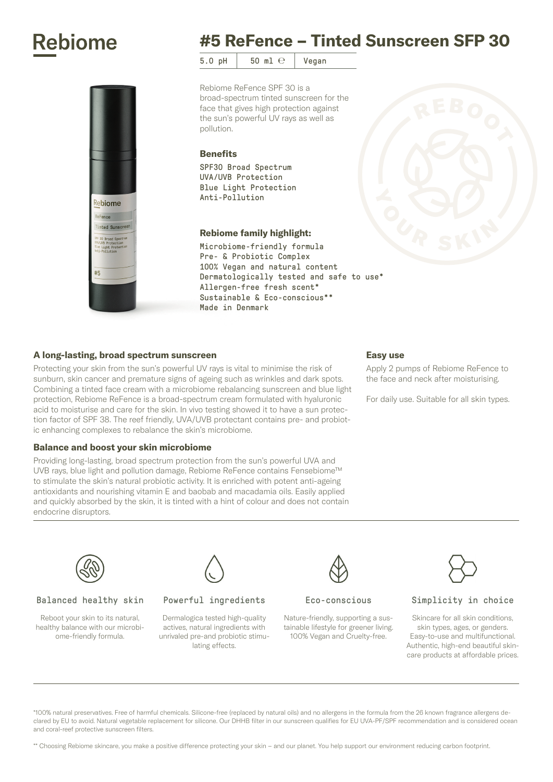## **Rebiome**



 $5.0$  pH  $50$  ml  $\odot$  Vegan

Rebiome ReFence SPF 30 is a broad-spectrum tinted sunscreen for the face that gives high protection against the sun's powerful UV rays as well as pollution.

#### **Benefits**

SPF30 Broad Spectrum UVA/UVB Protection Blue Light Protection Anti-Pollution

### Rebiome family highlight:

Microbiome-friendly formula Pre- & Probiotic Complex 100% Vegan and natural content Dermatologically tested and safe to use\* Allergen-free fresh scent\* Sustainable & Eco-conscious\*\* Made in Denmark

## A long-lasting, broad spectrum sunscreen

Rebiome ReFence Tinted Sunscreen

#5

Protecting your skin from the sun's powerful UV rays is vital to minimise the risk of sunburn, skin cancer and premature signs of ageing such as wrinkles and dark spots. Combining a tinted face cream with a microbiome rebalancing sunscreen and blue light protection, Rebiome ReFence is a broad-spectrum cream formulated with hyaluronic acid to moisturise and care for the skin. In vivo testing showed it to have a sun protection factor of SPF 38. The reef friendly, UVA/UVB protectant contains pre- and probiotic enhancing complexes to rebalance the skin's microbiome.

#### Balance and boost your skin microbiome

Providing long-lasting, broad spectrum protection from the sun's powerful UVA and UVB rays, blue light and pollution damage, Rebiome ReFence contains Fensebiome™ to stimulate the skin's natural probiotic activity. It is enriched with potent anti-ageing antioxidants and nourishing vitamin E and baobab and macadamia oils. Easily applied and quickly absorbed by the skin, it is tinted with a hint of colour and does not contain endocrine disruptors.

#### Easy use

Apply 2 pumps of Rebiome ReFence to the face and neck after moisturising.

For daily use. Suitable for all skin types.



#### Balanced healthy skin

Reboot your skin to its natural, healthy balance with our microbiome-friendly formula.



#### Powerful ingredients

Dermalogica tested high-quality actives, natural ingredients with unrivaled pre-and probiotic stimulating effects.

#### Eco-conscious

Nature-friendly, supporting a sustainable lifestyle for greener living. 100% Vegan and Cruelty-free.



#### Simplicity in choice

Skincare for all skin conditions, skin types, ages, or genders. Easy-to-use and multifunctional. Authentic, high-end beautiful skincare products at affordable prices.

\*100% natural preservatives. Free of harmful chemicals. Silicone-free (replaced by natural oils) and no allergens in the formula from the 26 known fragrance allergens declared by EU to avoid. Natural vegetable replacement for silicone. Our DHHB filter in our sunscreen qualifies for EU UVA-PF/SPF recommendation and is considered ocean and coral-reef protective sunscreen filters.

\*\* Choosing Rebiome skincare, you make a positive difference protecting your skin – and our planet. You help support our environment reducing carbon footprint.